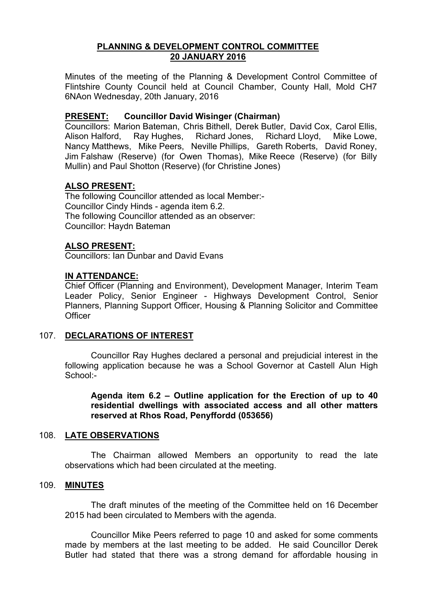# **PLANNING & DEVELOPMENT CONTROL COMMITTEE 20 JANUARY 2016**

Minutes of the meeting of the Planning & Development Control Committee of Flintshire County Council held at Council Chamber, County Hall, Mold CH7 6NAon Wednesday, 20th January, 2016

# **PRESENT: Councillor David Wisinger (Chairman)**

Councillors: Marion Bateman, Chris Bithell, Derek Butler, David Cox, Carol Ellis, Alison Halford, Ray Hughes, Richard Jones, Richard Lloyd, Mike Lowe, Nancy Matthews, Mike Peers, Neville Phillips, Gareth Roberts, David Roney, Jim Falshaw (Reserve) (for Owen Thomas), Mike Reece (Reserve) (for Billy Mullin) and Paul Shotton (Reserve) (for Christine Jones)

# **ALSO PRESENT:**

The following Councillor attended as local Member:- Councillor Cindy Hinds - agenda item 6.2. The following Councillor attended as an observer: Councillor: Haydn Bateman

### **ALSO PRESENT:**

Councillors: Ian Dunbar and David Evans

# **IN ATTENDANCE:**

Chief Officer (Planning and Environment), Development Manager, Interim Team Leader Policy, Senior Engineer - Highways Development Control, Senior Planners, Planning Support Officer, Housing & Planning Solicitor and Committee **Officer** 

### 107. **DECLARATIONS OF INTEREST**

Councillor Ray Hughes declared a personal and prejudicial interest in the following application because he was a School Governor at Castell Alun High School:-

**Agenda item 6.2 – Outline application for the Erection of up to 40 residential dwellings with associated access and all other matters reserved at Rhos Road, Penyffordd (053656)**

### 108. **LATE OBSERVATIONS**

The Chairman allowed Members an opportunity to read the late observations which had been circulated at the meeting.

### 109. **MINUTES**

The draft minutes of the meeting of the Committee held on 16 December 2015 had been circulated to Members with the agenda.

Councillor Mike Peers referred to page 10 and asked for some comments made by members at the last meeting to be added. He said Councillor Derek Butler had stated that there was a strong demand for affordable housing in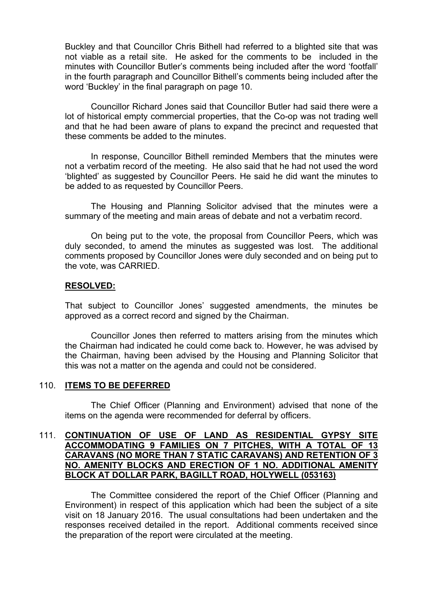Buckley and that Councillor Chris Bithell had referred to a blighted site that was not viable as a retail site. He asked for the comments to be included in the minutes with Councillor Butler's comments being included after the word 'footfall' in the fourth paragraph and Councillor Bithell's comments being included after the word 'Buckley' in the final paragraph on page 10.

Councillor Richard Jones said that Councillor Butler had said there were a lot of historical empty commercial properties, that the Co-op was not trading well and that he had been aware of plans to expand the precinct and requested that these comments be added to the minutes.

In response, Councillor Bithell reminded Members that the minutes were not a verbatim record of the meeting. He also said that he had not used the word 'blighted' as suggested by Councillor Peers. He said he did want the minutes to be added to as requested by Councillor Peers.

The Housing and Planning Solicitor advised that the minutes were a summary of the meeting and main areas of debate and not a verbatim record.

On being put to the vote, the proposal from Councillor Peers, which was duly seconded, to amend the minutes as suggested was lost. The additional comments proposed by Councillor Jones were duly seconded and on being put to the vote, was CARRIED.

#### **RESOLVED:**

That subject to Councillor Jones' suggested amendments, the minutes be approved as a correct record and signed by the Chairman.

Councillor Jones then referred to matters arising from the minutes which the Chairman had indicated he could come back to. However, he was advised by the Chairman, having been advised by the Housing and Planning Solicitor that this was not a matter on the agenda and could not be considered.

### 110. **ITEMS TO BE DEFERRED**

The Chief Officer (Planning and Environment) advised that none of the items on the agenda were recommended for deferral by officers.

#### 111. **CONTINUATION OF USE OF LAND AS RESIDENTIAL GYPSY SITE ACCOMMODATING 9 FAMILIES ON 7 PITCHES, WITH A TOTAL OF 13 CARAVANS (NO MORE THAN 7 STATIC CARAVANS) AND RETENTION OF 3 NO. AMENITY BLOCKS AND ERECTION OF 1 NO. ADDITIONAL AMENITY BLOCK AT DOLLAR PARK, BAGILLT ROAD, HOLYWELL (053163)**

The Committee considered the report of the Chief Officer (Planning and Environment) in respect of this application which had been the subject of a site visit on 18 January 2016. The usual consultations had been undertaken and the responses received detailed in the report. Additional comments received since the preparation of the report were circulated at the meeting.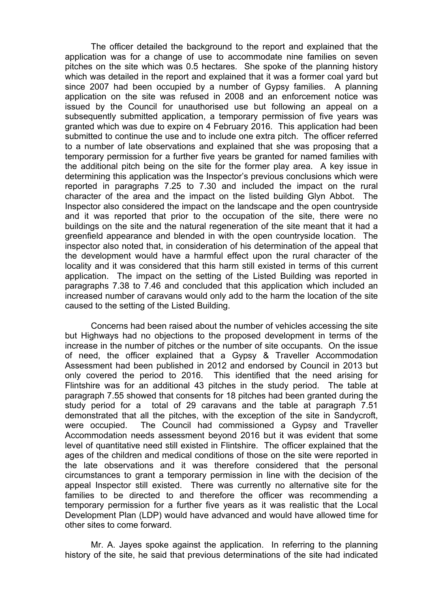The officer detailed the background to the report and explained that the application was for a change of use to accommodate nine families on seven pitches on the site which was 0.5 hectares. She spoke of the planning history which was detailed in the report and explained that it was a former coal yard but since 2007 had been occupied by a number of Gypsy families. A planning application on the site was refused in 2008 and an enforcement notice was issued by the Council for unauthorised use but following an appeal on a subsequently submitted application, a temporary permission of five years was granted which was due to expire on 4 February 2016. This application had been submitted to continue the use and to include one extra pitch. The officer referred to a number of late observations and explained that she was proposing that a temporary permission for a further five years be granted for named families with the additional pitch being on the site for the former play area. A key issue in determining this application was the Inspector's previous conclusions which were reported in paragraphs 7.25 to 7.30 and included the impact on the rural character of the area and the impact on the listed building Glyn Abbot. The Inspector also considered the impact on the landscape and the open countryside and it was reported that prior to the occupation of the site, there were no buildings on the site and the natural regeneration of the site meant that it had a greenfield appearance and blended in with the open countryside location. The inspector also noted that, in consideration of his determination of the appeal that the development would have a harmful effect upon the rural character of the locality and it was considered that this harm still existed in terms of this current application. The impact on the setting of the Listed Building was reported in paragraphs 7.38 to 7.46 and concluded that this application which included an increased number of caravans would only add to the harm the location of the site caused to the setting of the Listed Building.

Concerns had been raised about the number of vehicles accessing the site but Highways had no objections to the proposed development in terms of the increase in the number of pitches or the number of site occupants. On the issue of need, the officer explained that a Gypsy & Traveller Accommodation Assessment had been published in 2012 and endorsed by Council in 2013 but only covered the period to 2016. This identified that the need arising for Flintshire was for an additional 43 pitches in the study period. The table at paragraph 7.55 showed that consents for 18 pitches had been granted during the study period for a total of 29 caravans and the table at paragraph 7.51 demonstrated that all the pitches, with the exception of the site in Sandycroft, were occupied. The Council had commissioned a Gypsy and Traveller Accommodation needs assessment beyond 2016 but it was evident that some level of quantitative need still existed in Flintshire. The officer explained that the ages of the children and medical conditions of those on the site were reported in the late observations and it was therefore considered that the personal circumstances to grant a temporary permission in line with the decision of the appeal Inspector still existed. There was currently no alternative site for the families to be directed to and therefore the officer was recommending a temporary permission for a further five years as it was realistic that the Local Development Plan (LDP) would have advanced and would have allowed time for other sites to come forward.

Mr. A. Jayes spoke against the application. In referring to the planning history of the site, he said that previous determinations of the site had indicated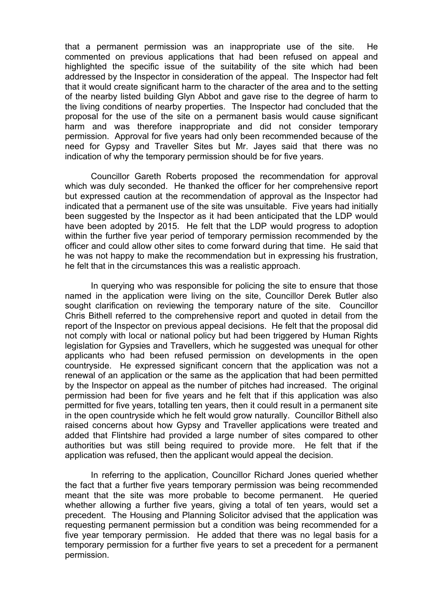that a permanent permission was an inappropriate use of the site. He commented on previous applications that had been refused on appeal and highlighted the specific issue of the suitability of the site which had been addressed by the Inspector in consideration of the appeal. The Inspector had felt that it would create significant harm to the character of the area and to the setting of the nearby listed building Glyn Abbot and gave rise to the degree of harm to the living conditions of nearby properties. The Inspector had concluded that the proposal for the use of the site on a permanent basis would cause significant harm and was therefore inappropriate and did not consider temporary permission. Approval for five years had only been recommended because of the need for Gypsy and Traveller Sites but Mr. Jayes said that there was no indication of why the temporary permission should be for five years.

Councillor Gareth Roberts proposed the recommendation for approval which was duly seconded. He thanked the officer for her comprehensive report but expressed caution at the recommendation of approval as the Inspector had indicated that a permanent use of the site was unsuitable. Five years had initially been suggested by the Inspector as it had been anticipated that the LDP would have been adopted by 2015. He felt that the LDP would progress to adoption within the further five year period of temporary permission recommended by the officer and could allow other sites to come forward during that time. He said that he was not happy to make the recommendation but in expressing his frustration, he felt that in the circumstances this was a realistic approach.

In querying who was responsible for policing the site to ensure that those named in the application were living on the site, Councillor Derek Butler also sought clarification on reviewing the temporary nature of the site. Councillor Chris Bithell referred to the comprehensive report and quoted in detail from the report of the Inspector on previous appeal decisions. He felt that the proposal did not comply with local or national policy but had been triggered by Human Rights legislation for Gypsies and Travellers, which he suggested was unequal for other applicants who had been refused permission on developments in the open countryside. He expressed significant concern that the application was not a renewal of an application or the same as the application that had been permitted by the Inspector on appeal as the number of pitches had increased. The original permission had been for five years and he felt that if this application was also permitted for five years, totalling ten years, then it could result in a permanent site in the open countryside which he felt would grow naturally. Councillor Bithell also raised concerns about how Gypsy and Traveller applications were treated and added that Flintshire had provided a large number of sites compared to other authorities but was still being required to provide more. He felt that if the application was refused, then the applicant would appeal the decision.

In referring to the application, Councillor Richard Jones queried whether the fact that a further five years temporary permission was being recommended meant that the site was more probable to become permanent. He queried whether allowing a further five years, giving a total of ten years, would set a precedent. The Housing and Planning Solicitor advised that the application was requesting permanent permission but a condition was being recommended for a five year temporary permission. He added that there was no legal basis for a temporary permission for a further five years to set a precedent for a permanent permission.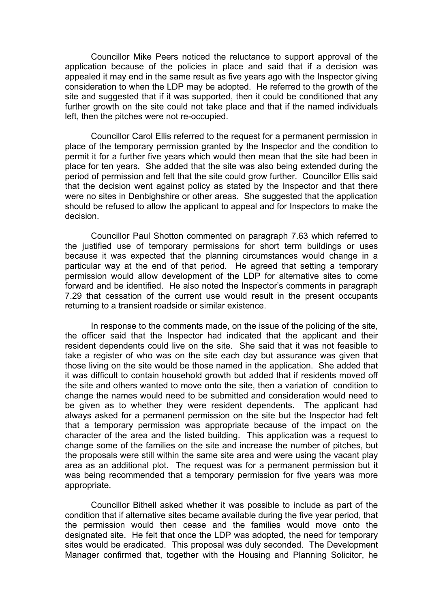Councillor Mike Peers noticed the reluctance to support approval of the application because of the policies in place and said that if a decision was appealed it may end in the same result as five years ago with the Inspector giving consideration to when the LDP may be adopted. He referred to the growth of the site and suggested that if it was supported, then it could be conditioned that any further growth on the site could not take place and that if the named individuals left, then the pitches were not re-occupied.

Councillor Carol Ellis referred to the request for a permanent permission in place of the temporary permission granted by the Inspector and the condition to permit it for a further five years which would then mean that the site had been in place for ten years. She added that the site was also being extended during the period of permission and felt that the site could grow further. Councillor Ellis said that the decision went against policy as stated by the Inspector and that there were no sites in Denbighshire or other areas. She suggested that the application should be refused to allow the applicant to appeal and for Inspectors to make the decision.

Councillor Paul Shotton commented on paragraph 7.63 which referred to the justified use of temporary permissions for short term buildings or uses because it was expected that the planning circumstances would change in a particular way at the end of that period. He agreed that setting a temporary permission would allow development of the LDP for alternative sites to come forward and be identified. He also noted the Inspector's comments in paragraph 7.29 that cessation of the current use would result in the present occupants returning to a transient roadside or similar existence.

In response to the comments made, on the issue of the policing of the site, the officer said that the Inspector had indicated that the applicant and their resident dependents could live on the site. She said that it was not feasible to take a register of who was on the site each day but assurance was given that those living on the site would be those named in the application. She added that it was difficult to contain household growth but added that if residents moved off the site and others wanted to move onto the site, then a variation of condition to change the names would need to be submitted and consideration would need to be given as to whether they were resident dependents. The applicant had always asked for a permanent permission on the site but the Inspector had felt that a temporary permission was appropriate because of the impact on the character of the area and the listed building. This application was a request to change some of the families on the site and increase the number of pitches, but the proposals were still within the same site area and were using the vacant play area as an additional plot. The request was for a permanent permission but it was being recommended that a temporary permission for five years was more appropriate.

Councillor Bithell asked whether it was possible to include as part of the condition that if alternative sites became available during the five year period, that the permission would then cease and the families would move onto the designated site. He felt that once the LDP was adopted, the need for temporary sites would be eradicated. This proposal was duly seconded. The Development Manager confirmed that, together with the Housing and Planning Solicitor, he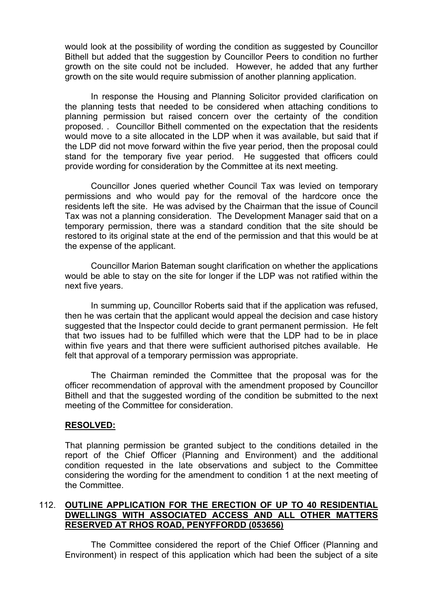would look at the possibility of wording the condition as suggested by Councillor Bithell but added that the suggestion by Councillor Peers to condition no further growth on the site could not be included. However, he added that any further growth on the site would require submission of another planning application.

In response the Housing and Planning Solicitor provided clarification on the planning tests that needed to be considered when attaching conditions to planning permission but raised concern over the certainty of the condition proposed. . Councillor Bithell commented on the expectation that the residents would move to a site allocated in the LDP when it was available, but said that if the LDP did not move forward within the five year period, then the proposal could stand for the temporary five year period. He suggested that officers could provide wording for consideration by the Committee at its next meeting.

Councillor Jones queried whether Council Tax was levied on temporary permissions and who would pay for the removal of the hardcore once the residents left the site. He was advised by the Chairman that the issue of Council Tax was not a planning consideration. The Development Manager said that on a temporary permission, there was a standard condition that the site should be restored to its original state at the end of the permission and that this would be at the expense of the applicant.

Councillor Marion Bateman sought clarification on whether the applications would be able to stay on the site for longer if the LDP was not ratified within the next five years.

In summing up, Councillor Roberts said that if the application was refused, then he was certain that the applicant would appeal the decision and case history suggested that the Inspector could decide to grant permanent permission. He felt that two issues had to be fulfilled which were that the LDP had to be in place within five years and that there were sufficient authorised pitches available. He felt that approval of a temporary permission was appropriate.

The Chairman reminded the Committee that the proposal was for the officer recommendation of approval with the amendment proposed by Councillor Bithell and that the suggested wording of the condition be submitted to the next meeting of the Committee for consideration.

#### **RESOLVED:**

That planning permission be granted subject to the conditions detailed in the report of the Chief Officer (Planning and Environment) and the additional condition requested in the late observations and subject to the Committee considering the wording for the amendment to condition 1 at the next meeting of the Committee.

#### 112. **OUTLINE APPLICATION FOR THE ERECTION OF UP TO 40 RESIDENTIAL DWELLINGS WITH ASSOCIATED ACCESS AND ALL OTHER MATTERS RESERVED AT RHOS ROAD, PENYFFORDD (053656)**

The Committee considered the report of the Chief Officer (Planning and Environment) in respect of this application which had been the subject of a site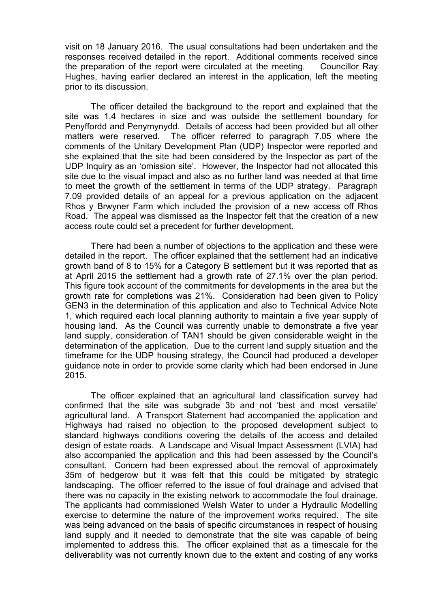visit on 18 January 2016. The usual consultations had been undertaken and the responses received detailed in the report. Additional comments received since the preparation of the report were circulated at the meeting. Councillor Ray Hughes, having earlier declared an interest in the application, left the meeting prior to its discussion.

The officer detailed the background to the report and explained that the site was 1.4 hectares in size and was outside the settlement boundary for Penyffordd and Penymynydd. Details of access had been provided but all other matters were reserved. The officer referred to paragraph 7.05 where the comments of the Unitary Development Plan (UDP) Inspector were reported and she explained that the site had been considered by the Inspector as part of the UDP Inquiry as an 'omission site'. However, the Inspector had not allocated this site due to the visual impact and also as no further land was needed at that time to meet the growth of the settlement in terms of the UDP strategy. Paragraph 7.09 provided details of an appeal for a previous application on the adjacent Rhos y Brwyner Farm which included the provision of a new access off Rhos Road. The appeal was dismissed as the Inspector felt that the creation of a new access route could set a precedent for further development.

There had been a number of objections to the application and these were detailed in the report. The officer explained that the settlement had an indicative growth band of 8 to 15% for a Category B settlement but it was reported that as at April 2015 the settlement had a growth rate of 27.1% over the plan period. This figure took account of the commitments for developments in the area but the growth rate for completions was 21%. Consideration had been given to Policy GEN3 in the determination of this application and also to Technical Advice Note 1, which required each local planning authority to maintain a five year supply of housing land. As the Council was currently unable to demonstrate a five year land supply, consideration of TAN1 should be given considerable weight in the determination of the application. Due to the current land supply situation and the timeframe for the UDP housing strategy, the Council had produced a developer guidance note in order to provide some clarity which had been endorsed in June 2015.

The officer explained that an agricultural land classification survey had confirmed that the site was subgrade 3b and not 'best and most versatile' agricultural land. A Transport Statement had accompanied the application and Highways had raised no objection to the proposed development subject to standard highways conditions covering the details of the access and detailed design of estate roads. A Landscape and Visual Impact Assessment (LVIA) had also accompanied the application and this had been assessed by the Council's consultant. Concern had been expressed about the removal of approximately 35m of hedgerow but it was felt that this could be mitigated by strategic landscaping. The officer referred to the issue of foul drainage and advised that there was no capacity in the existing network to accommodate the foul drainage. The applicants had commissioned Welsh Water to under a Hydraulic Modelling exercise to determine the nature of the improvement works required. The site was being advanced on the basis of specific circumstances in respect of housing land supply and it needed to demonstrate that the site was capable of being implemented to address this. The officer explained that as a timescale for the deliverability was not currently known due to the extent and costing of any works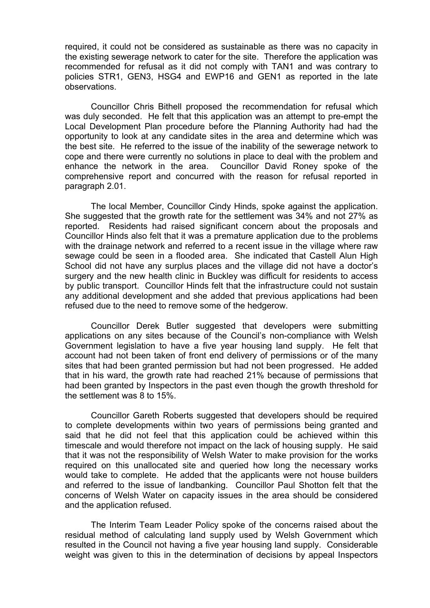required, it could not be considered as sustainable as there was no capacity in the existing sewerage network to cater for the site. Therefore the application was recommended for refusal as it did not comply with TAN1 and was contrary to policies STR1, GEN3, HSG4 and EWP16 and GEN1 as reported in the late observations.

Councillor Chris Bithell proposed the recommendation for refusal which was duly seconded. He felt that this application was an attempt to pre-empt the Local Development Plan procedure before the Planning Authority had had the opportunity to look at any candidate sites in the area and determine which was the best site. He referred to the issue of the inability of the sewerage network to cope and there were currently no solutions in place to deal with the problem and enhance the network in the area. Councillor David Roney spoke of the comprehensive report and concurred with the reason for refusal reported in paragraph 2.01.

The local Member, Councillor Cindy Hinds, spoke against the application. She suggested that the growth rate for the settlement was 34% and not 27% as reported. Residents had raised significant concern about the proposals and Councillor Hinds also felt that it was a premature application due to the problems with the drainage network and referred to a recent issue in the village where raw sewage could be seen in a flooded area. She indicated that Castell Alun High School did not have any surplus places and the village did not have a doctor's surgery and the new health clinic in Buckley was difficult for residents to access by public transport. Councillor Hinds felt that the infrastructure could not sustain any additional development and she added that previous applications had been refused due to the need to remove some of the hedgerow.

Councillor Derek Butler suggested that developers were submitting applications on any sites because of the Council's non-compliance with Welsh Government legislation to have a five year housing land supply. He felt that account had not been taken of front end delivery of permissions or of the many sites that had been granted permission but had not been progressed. He added that in his ward, the growth rate had reached 21% because of permissions that had been granted by Inspectors in the past even though the growth threshold for the settlement was 8 to 15%.

Councillor Gareth Roberts suggested that developers should be required to complete developments within two years of permissions being granted and said that he did not feel that this application could be achieved within this timescale and would therefore not impact on the lack of housing supply. He said that it was not the responsibility of Welsh Water to make provision for the works required on this unallocated site and queried how long the necessary works would take to complete. He added that the applicants were not house builders and referred to the issue of landbanking. Councillor Paul Shotton felt that the concerns of Welsh Water on capacity issues in the area should be considered and the application refused.

The Interim Team Leader Policy spoke of the concerns raised about the residual method of calculating land supply used by Welsh Government which resulted in the Council not having a five year housing land supply. Considerable weight was given to this in the determination of decisions by appeal Inspectors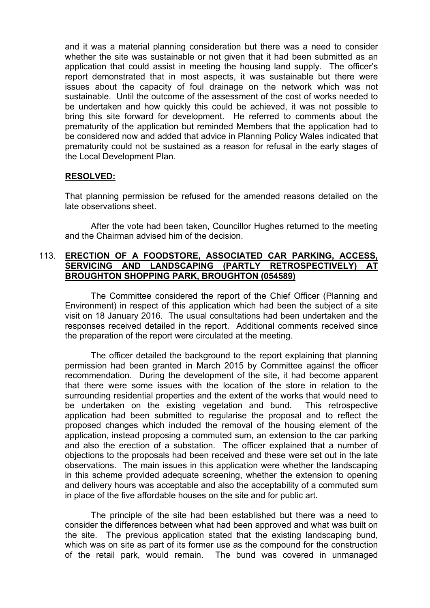and it was a material planning consideration but there was a need to consider whether the site was sustainable or not given that it had been submitted as an application that could assist in meeting the housing land supply. The officer's report demonstrated that in most aspects, it was sustainable but there were issues about the capacity of foul drainage on the network which was not sustainable. Until the outcome of the assessment of the cost of works needed to be undertaken and how quickly this could be achieved, it was not possible to bring this site forward for development. He referred to comments about the prematurity of the application but reminded Members that the application had to be considered now and added that advice in Planning Policy Wales indicated that prematurity could not be sustained as a reason for refusal in the early stages of the Local Development Plan.

### **RESOLVED:**

That planning permission be refused for the amended reasons detailed on the late observations sheet.

After the vote had been taken, Councillor Hughes returned to the meeting and the Chairman advised him of the decision.

#### 113. **ERECTION OF A FOODSTORE, ASSOCIATED CAR PARKING, ACCESS, SERVICING AND LANDSCAPING (PARTLY RETROSPECTIVELY) AT BROUGHTON SHOPPING PARK, BROUGHTON (054589)**

The Committee considered the report of the Chief Officer (Planning and Environment) in respect of this application which had been the subject of a site visit on 18 January 2016. The usual consultations had been undertaken and the responses received detailed in the report. Additional comments received since the preparation of the report were circulated at the meeting.

The officer detailed the background to the report explaining that planning permission had been granted in March 2015 by Committee against the officer recommendation. During the development of the site, it had become apparent that there were some issues with the location of the store in relation to the surrounding residential properties and the extent of the works that would need to be undertaken on the existing vegetation and bund. This retrospective application had been submitted to regularise the proposal and to reflect the proposed changes which included the removal of the housing element of the application, instead proposing a commuted sum, an extension to the car parking and also the erection of a substation. The officer explained that a number of objections to the proposals had been received and these were set out in the late observations. The main issues in this application were whether the landscaping in this scheme provided adequate screening, whether the extension to opening and delivery hours was acceptable and also the acceptability of a commuted sum in place of the five affordable houses on the site and for public art.

The principle of the site had been established but there was a need to consider the differences between what had been approved and what was built on the site. The previous application stated that the existing landscaping bund, which was on site as part of its former use as the compound for the construction of the retail park, would remain. The bund was covered in unmanaged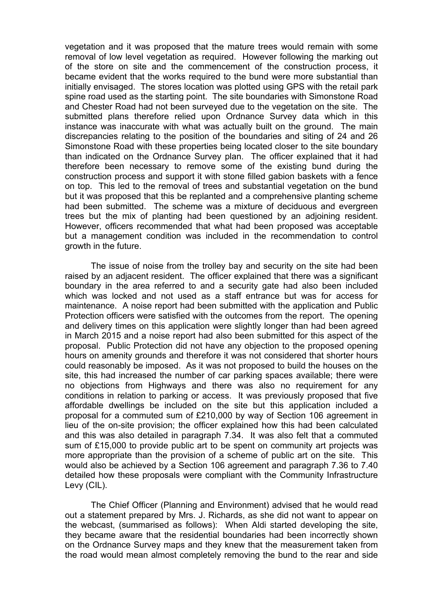vegetation and it was proposed that the mature trees would remain with some removal of low level vegetation as required. However following the marking out of the store on site and the commencement of the construction process, it became evident that the works required to the bund were more substantial than initially envisaged. The stores location was plotted using GPS with the retail park spine road used as the starting point. The site boundaries with Simonstone Road and Chester Road had not been surveyed due to the vegetation on the site. The submitted plans therefore relied upon Ordnance Survey data which in this instance was inaccurate with what was actually built on the ground. The main discrepancies relating to the position of the boundaries and siting of 24 and 26 Simonstone Road with these properties being located closer to the site boundary than indicated on the Ordnance Survey plan. The officer explained that it had therefore been necessary to remove some of the existing bund during the construction process and support it with stone filled gabion baskets with a fence on top. This led to the removal of trees and substantial vegetation on the bund but it was proposed that this be replanted and a comprehensive planting scheme had been submitted. The scheme was a mixture of deciduous and evergreen trees but the mix of planting had been questioned by an adjoining resident. However, officers recommended that what had been proposed was acceptable but a management condition was included in the recommendation to control growth in the future.

The issue of noise from the trolley bay and security on the site had been raised by an adjacent resident. The officer explained that there was a significant boundary in the area referred to and a security gate had also been included which was locked and not used as a staff entrance but was for access for maintenance. A noise report had been submitted with the application and Public Protection officers were satisfied with the outcomes from the report. The opening and delivery times on this application were slightly longer than had been agreed in March 2015 and a noise report had also been submitted for this aspect of the proposal. Public Protection did not have any objection to the proposed opening hours on amenity grounds and therefore it was not considered that shorter hours could reasonably be imposed. As it was not proposed to build the houses on the site, this had increased the number of car parking spaces available; there were no objections from Highways and there was also no requirement for any conditions in relation to parking or access. It was previously proposed that five affordable dwellings be included on the site but this application included a proposal for a commuted sum of £210,000 by way of Section 106 agreement in lieu of the on-site provision; the officer explained how this had been calculated and this was also detailed in paragraph 7.34. It was also felt that a commuted sum of £15,000 to provide public art to be spent on community art projects was more appropriate than the provision of a scheme of public art on the site. This would also be achieved by a Section 106 agreement and paragraph 7.36 to 7.40 detailed how these proposals were compliant with the Community Infrastructure Levy (CIL).

The Chief Officer (Planning and Environment) advised that he would read out a statement prepared by Mrs. J. Richards, as she did not want to appear on the webcast, (summarised as follows): When Aldi started developing the site, they became aware that the residential boundaries had been incorrectly shown on the Ordnance Survey maps and they knew that the measurement taken from the road would mean almost completely removing the bund to the rear and side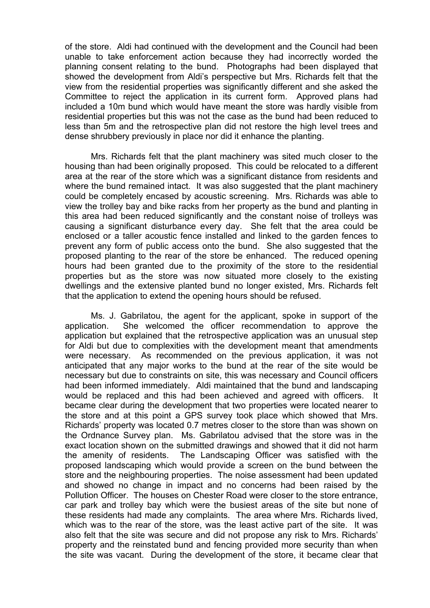of the store. Aldi had continued with the development and the Council had been unable to take enforcement action because they had incorrectly worded the planning consent relating to the bund. Photographs had been displayed that showed the development from Aldi's perspective but Mrs. Richards felt that the view from the residential properties was significantly different and she asked the Committee to reject the application in its current form. Approved plans had included a 10m bund which would have meant the store was hardly visible from residential properties but this was not the case as the bund had been reduced to less than 5m and the retrospective plan did not restore the high level trees and dense shrubbery previously in place nor did it enhance the planting.

Mrs. Richards felt that the plant machinery was sited much closer to the housing than had been originally proposed. This could be relocated to a different area at the rear of the store which was a significant distance from residents and where the bund remained intact. It was also suggested that the plant machinery could be completely encased by acoustic screening. Mrs. Richards was able to view the trolley bay and bike racks from her property as the bund and planting in this area had been reduced significantly and the constant noise of trolleys was causing a significant disturbance every day. She felt that the area could be enclosed or a taller acoustic fence installed and linked to the garden fences to prevent any form of public access onto the bund. She also suggested that the proposed planting to the rear of the store be enhanced. The reduced opening hours had been granted due to the proximity of the store to the residential properties but as the store was now situated more closely to the existing dwellings and the extensive planted bund no longer existed, Mrs. Richards felt that the application to extend the opening hours should be refused.

Ms. J. Gabrilatou, the agent for the applicant, spoke in support of the application. She welcomed the officer recommendation to approve the application but explained that the retrospective application was an unusual step for Aldi but due to complexities with the development meant that amendments were necessary. As recommended on the previous application, it was not anticipated that any major works to the bund at the rear of the site would be necessary but due to constraints on site, this was necessary and Council officers had been informed immediately. Aldi maintained that the bund and landscaping would be replaced and this had been achieved and agreed with officers. It became clear during the development that two properties were located nearer to the store and at this point a GPS survey took place which showed that Mrs. Richards' property was located 0.7 metres closer to the store than was shown on the Ordnance Survey plan. Ms. Gabrilatou advised that the store was in the exact location shown on the submitted drawings and showed that it did not harm the amenity of residents. The Landscaping Officer was satisfied with the proposed landscaping which would provide a screen on the bund between the store and the neighbouring properties. The noise assessment had been updated and showed no change in impact and no concerns had been raised by the Pollution Officer. The houses on Chester Road were closer to the store entrance, car park and trolley bay which were the busiest areas of the site but none of these residents had made any complaints. The area where Mrs. Richards lived, which was to the rear of the store, was the least active part of the site. It was also felt that the site was secure and did not propose any risk to Mrs. Richards' property and the reinstated bund and fencing provided more security than when the site was vacant. During the development of the store, it became clear that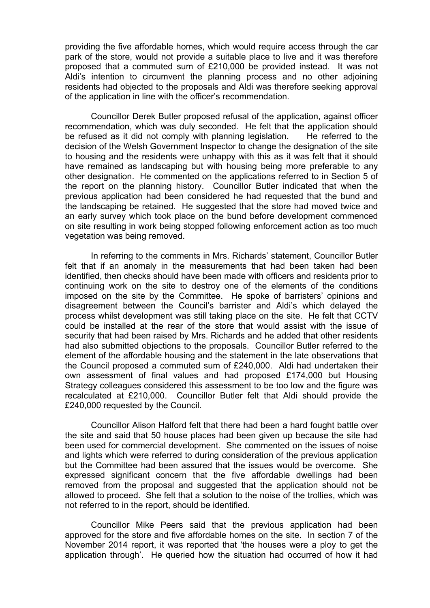providing the five affordable homes, which would require access through the car park of the store, would not provide a suitable place to live and it was therefore proposed that a commuted sum of £210,000 be provided instead. It was not Aldi's intention to circumvent the planning process and no other adjoining residents had objected to the proposals and Aldi was therefore seeking approval of the application in line with the officer's recommendation.

Councillor Derek Butler proposed refusal of the application, against officer recommendation, which was duly seconded. He felt that the application should be refused as it did not comply with planning legislation. He referred to the decision of the Welsh Government Inspector to change the designation of the site to housing and the residents were unhappy with this as it was felt that it should have remained as landscaping but with housing being more preferable to any other designation. He commented on the applications referred to in Section 5 of the report on the planning history. Councillor Butler indicated that when the previous application had been considered he had requested that the bund and the landscaping be retained. He suggested that the store had moved twice and an early survey which took place on the bund before development commenced on site resulting in work being stopped following enforcement action as too much vegetation was being removed.

In referring to the comments in Mrs. Richards' statement, Councillor Butler felt that if an anomaly in the measurements that had been taken had been identified, then checks should have been made with officers and residents prior to continuing work on the site to destroy one of the elements of the conditions imposed on the site by the Committee. He spoke of barristers' opinions and disagreement between the Council's barrister and Aldi's which delayed the process whilst development was still taking place on the site. He felt that CCTV could be installed at the rear of the store that would assist with the issue of security that had been raised by Mrs. Richards and he added that other residents had also submitted objections to the proposals. Councillor Butler referred to the element of the affordable housing and the statement in the late observations that the Council proposed a commuted sum of £240,000. Aldi had undertaken their own assessment of final values and had proposed £174,000 but Housing Strategy colleagues considered this assessment to be too low and the figure was recalculated at £210,000. Councillor Butler felt that Aldi should provide the £240,000 requested by the Council.

Councillor Alison Halford felt that there had been a hard fought battle over the site and said that 50 house places had been given up because the site had been used for commercial development. She commented on the issues of noise and lights which were referred to during consideration of the previous application but the Committee had been assured that the issues would be overcome. She expressed significant concern that the five affordable dwellings had been removed from the proposal and suggested that the application should not be allowed to proceed. She felt that a solution to the noise of the trollies, which was not referred to in the report, should be identified.

Councillor Mike Peers said that the previous application had been approved for the store and five affordable homes on the site. In section 7 of the November 2014 report, it was reported that 'the houses were a ploy to get the application through'. He queried how the situation had occurred of how it had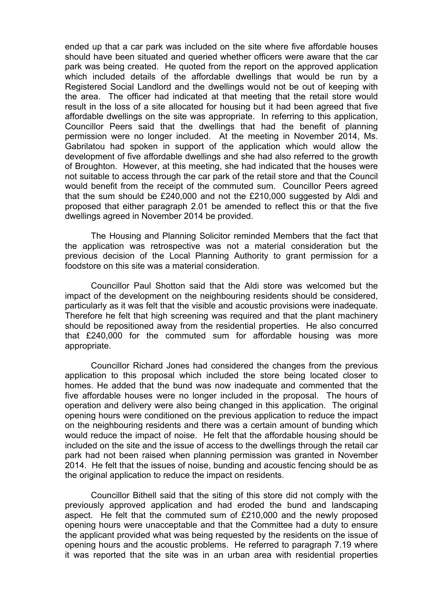ended up that a car park was included on the site where five affordable houses should have been situated and queried whether officers were aware that the car park was being created. He quoted from the report on the approved application which included details of the affordable dwellings that would be run by a Registered Social Landlord and the dwellings would not be out of keeping with the area. The officer had indicated at that meeting that the retail store would result in the loss of a site allocated for housing but it had been agreed that five affordable dwellings on the site was appropriate. In referring to this application, Councillor Peers said that the dwellings that had the benefit of planning permission were no longer included. At the meeting in November 2014, Ms. Gabrilatou had spoken in support of the application which would allow the development of five affordable dwellings and she had also referred to the growth of Broughton. However, at this meeting, she had indicated that the houses were not suitable to access through the car park of the retail store and that the Council would benefit from the receipt of the commuted sum. Councillor Peers agreed that the sum should be £240,000 and not the £210,000 suggested by Aldi and proposed that either paragraph 2.01 be amended to reflect this or that the five dwellings agreed in November 2014 be provided.

The Housing and Planning Solicitor reminded Members that the fact that the application was retrospective was not a material consideration but the previous decision of the Local Planning Authority to grant permission for a foodstore on this site was a material consideration.

Councillor Paul Shotton said that the Aldi store was welcomed but the impact of the development on the neighbouring residents should be considered, particularly as it was felt that the visible and acoustic provisions were inadequate. Therefore he felt that high screening was required and that the plant machinery should be repositioned away from the residential properties. He also concurred that £240,000 for the commuted sum for affordable housing was more appropriate.

Councillor Richard Jones had considered the changes from the previous application to this proposal which included the store being located closer to homes. He added that the bund was now inadequate and commented that the five affordable houses were no longer included in the proposal. The hours of operation and delivery were also being changed in this application. The original opening hours were conditioned on the previous application to reduce the impact on the neighbouring residents and there was a certain amount of bunding which would reduce the impact of noise. He felt that the affordable housing should be included on the site and the issue of access to the dwellings through the retail car park had not been raised when planning permission was granted in November 2014. He felt that the issues of noise, bunding and acoustic fencing should be as the original application to reduce the impact on residents.

Councillor Bithell said that the siting of this store did not comply with the previously approved application and had eroded the bund and landscaping aspect. He felt that the commuted sum of £210,000 and the newly proposed opening hours were unacceptable and that the Committee had a duty to ensure the applicant provided what was being requested by the residents on the issue of opening hours and the acoustic problems. He referred to paragraph 7.19 where it was reported that the site was in an urban area with residential properties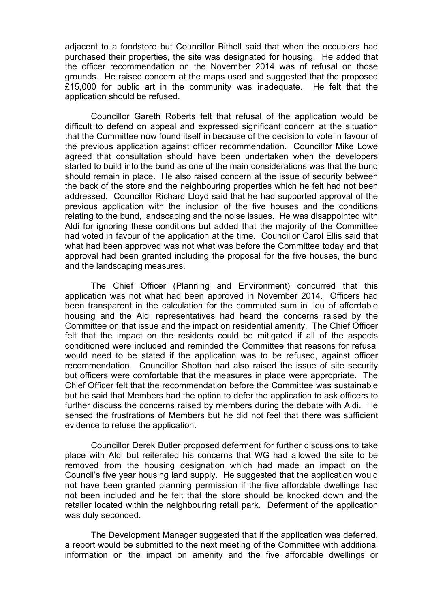adjacent to a foodstore but Councillor Bithell said that when the occupiers had purchased their properties, the site was designated for housing. He added that the officer recommendation on the November 2014 was of refusal on those grounds. He raised concern at the maps used and suggested that the proposed £15,000 for public art in the community was inadequate. He felt that the application should be refused.

Councillor Gareth Roberts felt that refusal of the application would be difficult to defend on appeal and expressed significant concern at the situation that the Committee now found itself in because of the decision to vote in favour of the previous application against officer recommendation. Councillor Mike Lowe agreed that consultation should have been undertaken when the developers started to build into the bund as one of the main considerations was that the bund should remain in place. He also raised concern at the issue of security between the back of the store and the neighbouring properties which he felt had not been addressed. Councillor Richard Lloyd said that he had supported approval of the previous application with the inclusion of the five houses and the conditions relating to the bund, landscaping and the noise issues. He was disappointed with Aldi for ignoring these conditions but added that the majority of the Committee had voted in favour of the application at the time. Councillor Carol Ellis said that what had been approved was not what was before the Committee today and that approval had been granted including the proposal for the five houses, the bund and the landscaping measures.

The Chief Officer (Planning and Environment) concurred that this application was not what had been approved in November 2014. Officers had been transparent in the calculation for the commuted sum in lieu of affordable housing and the Aldi representatives had heard the concerns raised by the Committee on that issue and the impact on residential amenity. The Chief Officer felt that the impact on the residents could be mitigated if all of the aspects conditioned were included and reminded the Committee that reasons for refusal would need to be stated if the application was to be refused, against officer recommendation. Councillor Shotton had also raised the issue of site security but officers were comfortable that the measures in place were appropriate. The Chief Officer felt that the recommendation before the Committee was sustainable but he said that Members had the option to defer the application to ask officers to further discuss the concerns raised by members during the debate with Aldi. He sensed the frustrations of Members but he did not feel that there was sufficient evidence to refuse the application.

Councillor Derek Butler proposed deferment for further discussions to take place with Aldi but reiterated his concerns that WG had allowed the site to be removed from the housing designation which had made an impact on the Council's five year housing land supply. He suggested that the application would not have been granted planning permission if the five affordable dwellings had not been included and he felt that the store should be knocked down and the retailer located within the neighbouring retail park. Deferment of the application was duly seconded.

The Development Manager suggested that if the application was deferred, a report would be submitted to the next meeting of the Committee with additional information on the impact on amenity and the five affordable dwellings or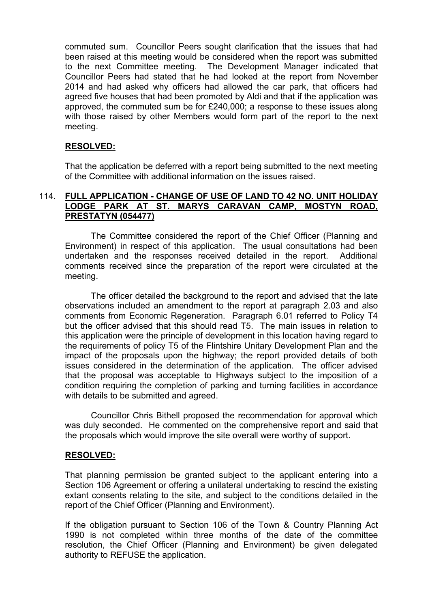commuted sum. Councillor Peers sought clarification that the issues that had been raised at this meeting would be considered when the report was submitted to the next Committee meeting. The Development Manager indicated that Councillor Peers had stated that he had looked at the report from November 2014 and had asked why officers had allowed the car park, that officers had agreed five houses that had been promoted by Aldi and that if the application was approved, the commuted sum be for £240,000; a response to these issues along with those raised by other Members would form part of the report to the next meeting.

# **RESOLVED:**

That the application be deferred with a report being submitted to the next meeting of the Committee with additional information on the issues raised.

### 114. **FULL APPLICATION - CHANGE OF USE OF LAND TO 42 NO. UNIT HOLIDAY LODGE PARK AT ST. MARYS CARAVAN CAMP, MOSTYN ROAD, PRESTATYN (054477)**

The Committee considered the report of the Chief Officer (Planning and Environment) in respect of this application. The usual consultations had been undertaken and the responses received detailed in the report. Additional comments received since the preparation of the report were circulated at the meeting.

The officer detailed the background to the report and advised that the late observations included an amendment to the report at paragraph 2.03 and also comments from Economic Regeneration. Paragraph 6.01 referred to Policy T4 but the officer advised that this should read T5. The main issues in relation to this application were the principle of development in this location having regard to the requirements of policy T5 of the Flintshire Unitary Development Plan and the impact of the proposals upon the highway; the report provided details of both issues considered in the determination of the application. The officer advised that the proposal was acceptable to Highways subject to the imposition of a condition requiring the completion of parking and turning facilities in accordance with details to be submitted and agreed.

Councillor Chris Bithell proposed the recommendation for approval which was duly seconded. He commented on the comprehensive report and said that the proposals which would improve the site overall were worthy of support.

### **RESOLVED:**

That planning permission be granted subject to the applicant entering into a Section 106 Agreement or offering a unilateral undertaking to rescind the existing extant consents relating to the site, and subject to the conditions detailed in the report of the Chief Officer (Planning and Environment).

If the obligation pursuant to Section 106 of the Town & Country Planning Act 1990 is not completed within three months of the date of the committee resolution, the Chief Officer (Planning and Environment) be given delegated authority to REFUSE the application.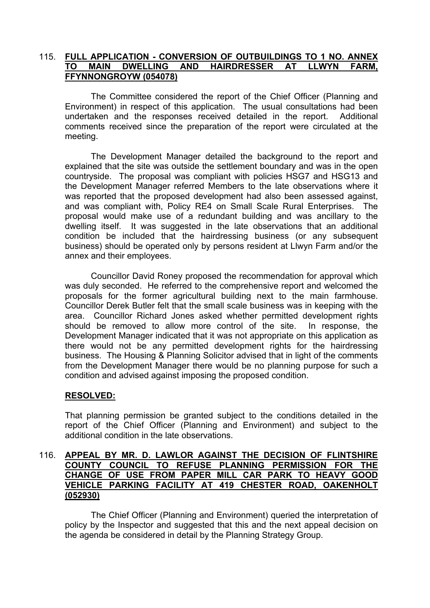### 115. **FULL APPLICATION - CONVERSION OF OUTBUILDINGS TO 1 NO. ANNEX TO MAIN DWELLING AND HAIRDRESSER AT LLWYN FARM, FFYNNONGROYW (054078)**

The Committee considered the report of the Chief Officer (Planning and Environment) in respect of this application. The usual consultations had been undertaken and the responses received detailed in the report. Additional comments received since the preparation of the report were circulated at the meeting.

The Development Manager detailed the background to the report and explained that the site was outside the settlement boundary and was in the open countryside. The proposal was compliant with policies HSG7 and HSG13 and the Development Manager referred Members to the late observations where it was reported that the proposed development had also been assessed against, and was compliant with, Policy RE4 on Small Scale Rural Enterprises. The proposal would make use of a redundant building and was ancillary to the dwelling itself. It was suggested in the late observations that an additional condition be included that the hairdressing business (or any subsequent business) should be operated only by persons resident at Llwyn Farm and/or the annex and their employees.

 Councillor David Roney proposed the recommendation for approval which was duly seconded. He referred to the comprehensive report and welcomed the proposals for the former agricultural building next to the main farmhouse. Councillor Derek Butler felt that the small scale business was in keeping with the area. Councillor Richard Jones asked whether permitted development rights should be removed to allow more control of the site. In response, the Development Manager indicated that it was not appropriate on this application as there would not be any permitted development rights for the hairdressing business. The Housing & Planning Solicitor advised that in light of the comments from the Development Manager there would be no planning purpose for such a condition and advised against imposing the proposed condition.

### **RESOLVED:**

That planning permission be granted subject to the conditions detailed in the report of the Chief Officer (Planning and Environment) and subject to the additional condition in the late observations.

#### 116. **APPEAL BY MR. D. LAWLOR AGAINST THE DECISION OF FLINTSHIRE COUNTY COUNCIL TO REFUSE PLANNING PERMISSION FOR THE CHANGE OF USE FROM PAPER MILL CAR PARK TO HEAVY GOOD VEHICLE PARKING FACILITY AT 419 CHESTER ROAD, OAKENHOLT (052930)**

The Chief Officer (Planning and Environment) queried the interpretation of policy by the Inspector and suggested that this and the next appeal decision on the agenda be considered in detail by the Planning Strategy Group.